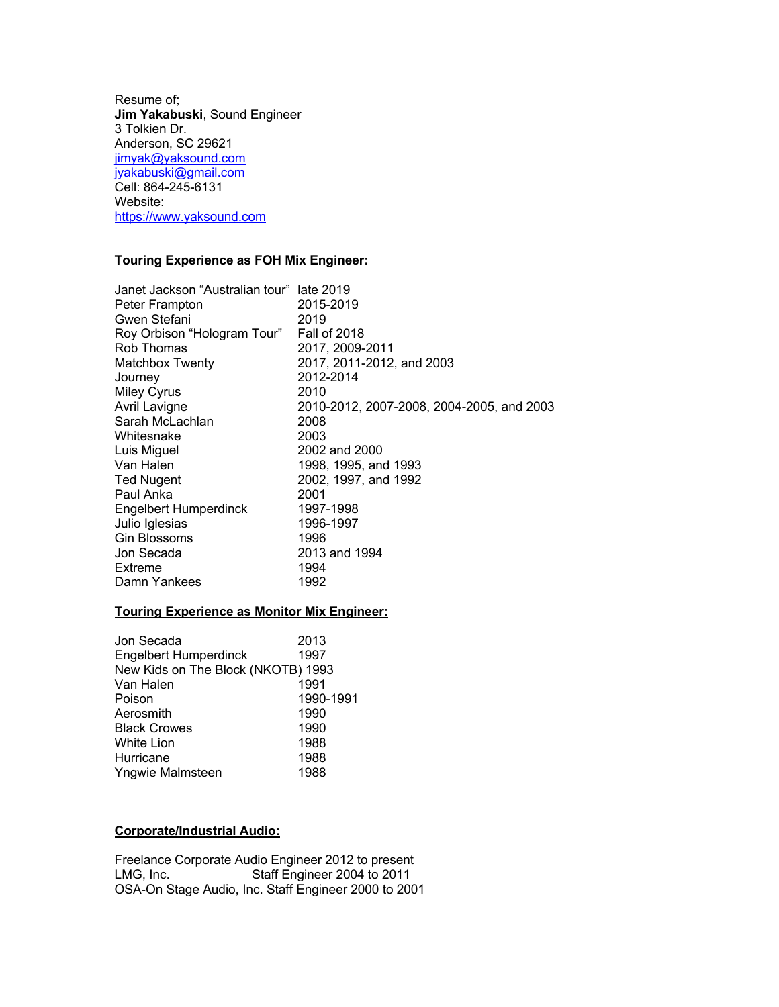Resume of; **Jim Yakabuski**, Sound Engineer 3 Tolkien Dr. Anderson, SC 29621 jimyak@yaksound.com jyakabuski@gmail.com Cell: 864-245-6131 Website: https://www.yaksound.com

# **Touring Experience as FOH Mix Engineer:**

| Janet Jackson "Australian tour" late 2019 |                                           |
|-------------------------------------------|-------------------------------------------|
| Peter Frampton                            | 2015-2019                                 |
| Gwen Stefani                              | 2019                                      |
| Roy Orbison "Hologram Tour"               | <b>Fall of 2018</b>                       |
| Rob Thomas                                | 2017, 2009-2011                           |
| <b>Matchbox Twenty</b>                    | 2017, 2011-2012, and 2003                 |
| Journey                                   | 2012-2014                                 |
| <b>Miley Cyrus</b>                        | 2010                                      |
| Avril Lavigne                             | 2010-2012, 2007-2008, 2004-2005, and 2003 |
| Sarah McLachlan                           | 2008                                      |
| Whitesnake                                | 2003                                      |
| Luis Miguel                               | 2002 and 2000                             |
| Van Halen                                 | 1998, 1995, and 1993                      |
| <b>Ted Nugent</b>                         | 2002, 1997, and 1992                      |
| Paul Anka                                 | 2001                                      |
| <b>Engelbert Humperdinck</b>              | 1997-1998                                 |
| Julio Iglesias                            | 1996-1997                                 |
| <b>Gin Blossoms</b>                       | 1996                                      |
| Jon Secada                                | 2013 and 1994                             |
| Extreme                                   | 1994                                      |
| Damn Yankees                              | 1992                                      |

# **Touring Experience as Monitor Mix Engineer:**

| Jon Secada                         | 2013      |
|------------------------------------|-----------|
| <b>Engelbert Humperdinck</b>       | 1997      |
| New Kids on The Block (NKOTB) 1993 |           |
| Van Halen                          | 1991      |
| Poison                             | 1990-1991 |
| Aerosmith                          | 1990      |
| <b>Black Crowes</b>                | 1990      |
| White Lion                         | 1988      |
| Hurricane                          | 1988      |
| Yngwie Malmsteen                   | 1988      |
|                                    |           |

# **Corporate/Industrial Audio:**

Freelance Corporate Audio Engineer 2012 to present<br>LMG, Inc. Staff Engineer 2004 to 2011 Staff Engineer 2004 to 2011 OSA-On Stage Audio, Inc. Staff Engineer 2000 to 2001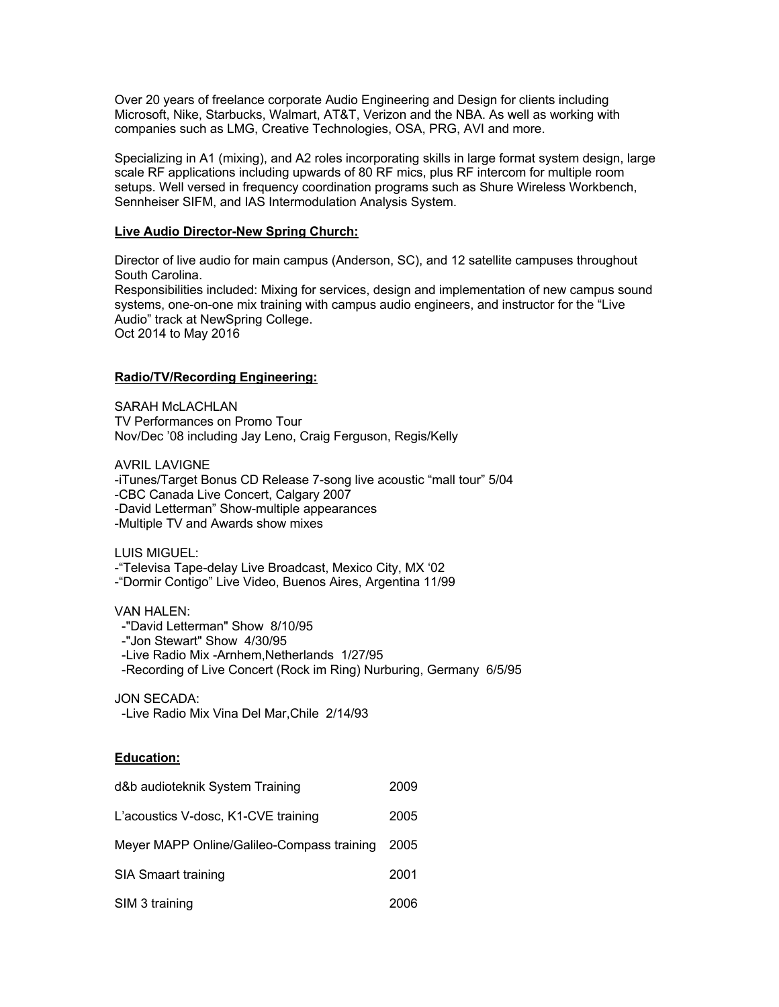Over 20 years of freelance corporate Audio Engineering and Design for clients including Microsoft, Nike, Starbucks, Walmart, AT&T, Verizon and the NBA. As well as working with companies such as LMG, Creative Technologies, OSA, PRG, AVI and more.

Specializing in A1 (mixing), and A2 roles incorporating skills in large format system design, large scale RF applications including upwards of 80 RF mics, plus RF intercom for multiple room setups. Well versed in frequency coordination programs such as Shure Wireless Workbench, Sennheiser SIFM, and IAS Intermodulation Analysis System.

### **Live Audio Director-New Spring Church:**

Director of live audio for main campus (Anderson, SC), and 12 satellite campuses throughout South Carolina. Responsibilities included: Mixing for services, design and implementation of new campus sound systems, one-on-one mix training with campus audio engineers, and instructor for the "Live Audio" track at NewSpring College. Oct 2014 to May 2016

## **Radio/TV/Recording Engineering:**

SARAH McLACHLAN TV Performances on Promo Tour Nov/Dec '08 including Jay Leno, Craig Ferguson, Regis/Kelly

AVRIL LAVIGNE -iTunes/Target Bonus CD Release 7-song live acoustic "mall tour" 5/04 -CBC Canada Live Concert, Calgary 2007 -David Letterman" Show-multiple appearances -Multiple TV and Awards show mixes

LUIS MIGUEL:

-"Televisa Tape-delay Live Broadcast, Mexico City, MX '02

-"Dormir Contigo" Live Video, Buenos Aires, Argentina 11/99

### VAN HALEN:

 -"David Letterman" Show 8/10/95 -"Jon Stewart" Show 4/30/95 -Live Radio Mix -Arnhem,Netherlands 1/27/95 -Recording of Live Concert (Rock im Ring) Nurburing, Germany 6/5/95

JON SECADA:

-Live Radio Mix Vina Del Mar,Chile 2/14/93

### **Education:**

| d&b audioteknik System Training            |      |
|--------------------------------------------|------|
| L'acoustics V-dosc, K1-CVE training        | 2005 |
| Meyer MAPP Online/Galileo-Compass training | 2005 |
| <b>SIA Smaart training</b>                 | 2001 |
| SIM 3 training                             | 2006 |